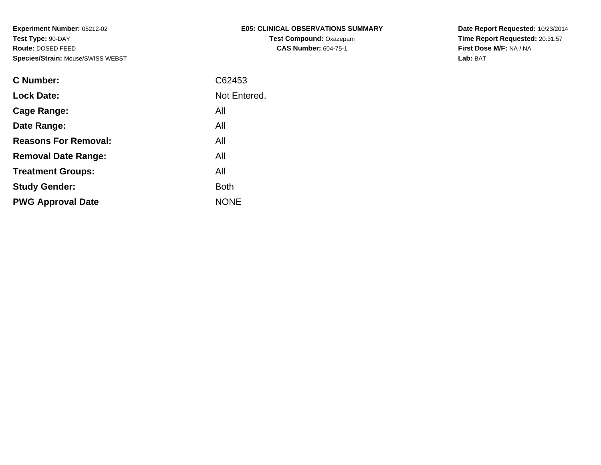| E05: CLINICAL OBSERVATIONS SUMMARY |
|------------------------------------|
| <b>Test Compound: Oxazepam</b>     |
| <b>CAS Number: 604-75-1</b>        |

**Date Report Requested:** 10/23/2014 **Time Report Requested:** 20:31:57**First Dose M/F:** NA / NA**Lab:** BAT

| C62453       |
|--------------|
| Not Entered. |
| All          |
| All          |
| All          |
| All          |
| All          |
| <b>Both</b>  |
| <b>NONE</b>  |
|              |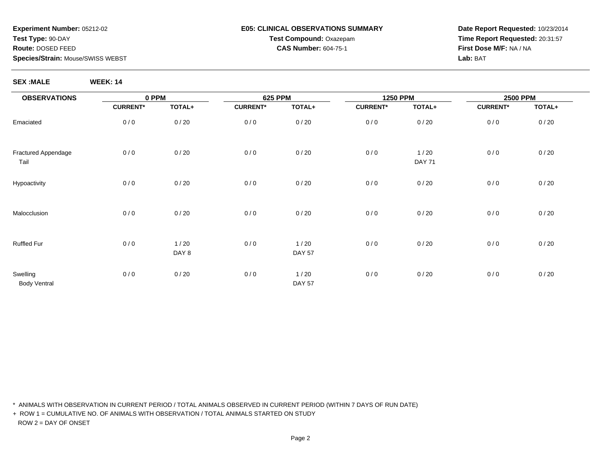#### **E05: CLINICAL OBSERVATIONS SUMMARYTest Compound:** Oxazepam**CAS Number:** 604-75-1

**Date Report Requested:** 10/23/2014**Time Report Requested:** 20:31:57**First Dose M/F:** NA / NA**Lab:** BAT

**SEX :MALE WEEK: 14**

| <b>OBSERVATIONS</b>             | 0 PPM           |               | 625 PPM         |                       | <b>1250 PPM</b> |                         | <b>2500 PPM</b> |        |
|---------------------------------|-----------------|---------------|-----------------|-----------------------|-----------------|-------------------------|-----------------|--------|
|                                 | <b>CURRENT*</b> | TOTAL+        | <b>CURRENT*</b> | TOTAL+                | <b>CURRENT*</b> | TOTAL+                  | <b>CURRENT*</b> | TOTAL+ |
| Emaciated                       | 0/0             | 0/20          | 0/0             | 0/20                  | 0/0             | 0/20                    | 0/0             | 0/20   |
| Fractured Appendage<br>Tail     | 0/0             | 0/20          | 0/0             | 0/20                  | 0/0             | $1/20$<br><b>DAY 71</b> | 0/0             | 0/20   |
| Hypoactivity                    | 0/0             | 0/20          | 0/0             | 0/20                  | 0/0             | 0/20                    | 0/0             | 0/20   |
| Malocclusion                    | 0/0             | 0/20          | 0/0             | 0/20                  | 0/0             | 0/20                    | 0/0             | 0/20   |
| <b>Ruffled Fur</b>              | 0/0             | 1/20<br>DAY 8 | 0/0             | 1/20<br><b>DAY 57</b> | 0/0             | 0/20                    | 0/0             | 0/20   |
| Swelling<br><b>Body Ventral</b> | 0/0             | 0/20          | 0/0             | 1/20<br><b>DAY 57</b> | 0/0             | 0/20                    | 0/0             | 0/20   |

\* ANIMALS WITH OBSERVATION IN CURRENT PERIOD / TOTAL ANIMALS OBSERVED IN CURRENT PERIOD (WITHIN 7 DAYS OF RUN DATE)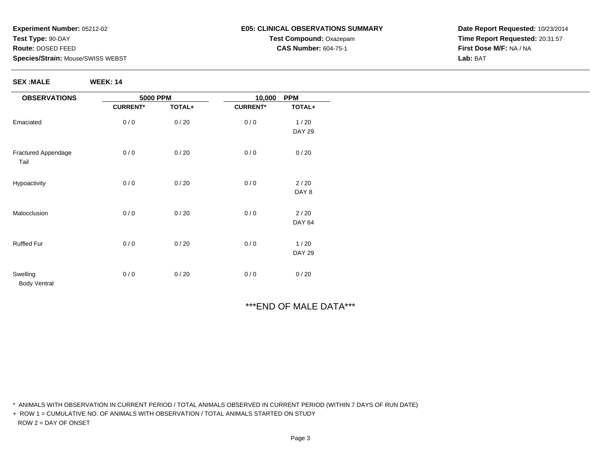**SEX :MALE WEEK: 14**

#### **E05: CLINICAL OBSERVATIONS SUMMARYTest Compound:** Oxazepam**CAS Number:** 604-75-1

**Date Report Requested:** 10/23/2014**Time Report Requested:** 20:31:57**First Dose M/F:** NA / NA**Lab:** BAT

# \*\*\*END OF MALE DATA\*\*\*

\* ANIMALS WITH OBSERVATION IN CURRENT PERIOD / TOTAL ANIMALS OBSERVED IN CURRENT PERIOD (WITHIN 7 DAYS OF RUN DATE)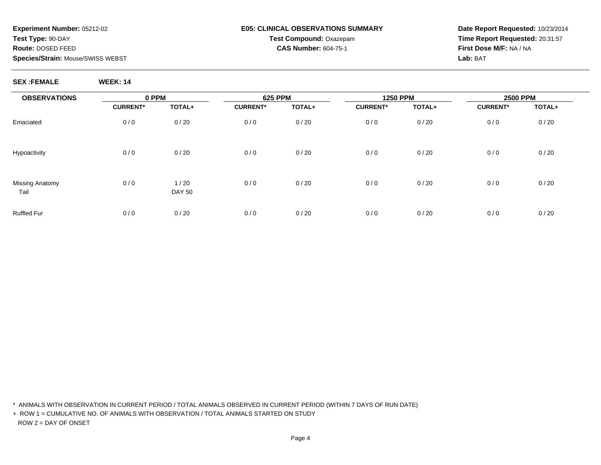#### **E05: CLINICAL OBSERVATIONS SUMMARYTest Compound:** Oxazepam**CAS Number:** 604-75-1

**Date Report Requested:** 10/23/2014**Time Report Requested:** 20:31:57**First Dose M/F:** NA / NA**Lab:** BAT

#### **SEX :FEMALE WEEK: 14**

| <b>OBSERVATIONS</b>     | 0 PPM           |                       | <b>625 PPM</b>  |        | <b>1250 PPM</b> |        | <b>2500 PPM</b> |        |  |
|-------------------------|-----------------|-----------------------|-----------------|--------|-----------------|--------|-----------------|--------|--|
|                         | <b>CURRENT*</b> | TOTAL+                | <b>CURRENT*</b> | TOTAL+ | <b>CURRENT*</b> | TOTAL+ | <b>CURRENT*</b> | TOTAL+ |  |
| Emaciated               | 0/0             | 0/20                  | 0/0             | 0/20   | 0/0             | 0/20   | 0/0             | 0/20   |  |
| Hypoactivity            | 0/0             | 0/20                  | 0/0             | 0/20   | 0/0             | 0/20   | 0/0             | 0/20   |  |
| Missing Anatomy<br>Tail | 0/0             | 1/20<br><b>DAY 50</b> | 0/0             | 0/20   | 0/0             | 0/20   | 0/0             | 0/20   |  |
| <b>Ruffled Fur</b>      | 0/0             | 0/20                  | 0/0             | 0/20   | 0/0             | 0/20   | 0/0             | 0/20   |  |

\* ANIMALS WITH OBSERVATION IN CURRENT PERIOD / TOTAL ANIMALS OBSERVED IN CURRENT PERIOD (WITHIN 7 DAYS OF RUN DATE)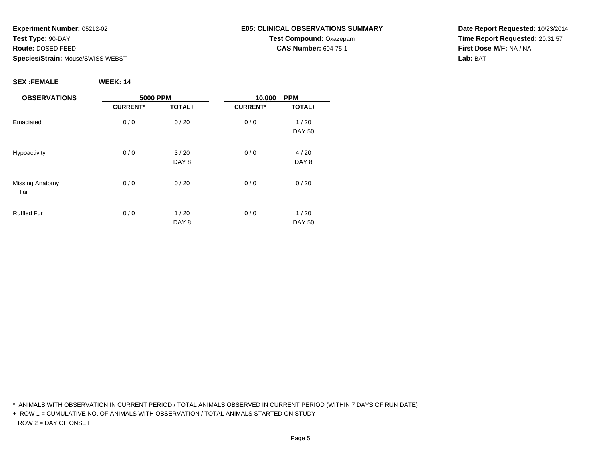### **E05: CLINICAL OBSERVATIONS SUMMARYTest Compound:** Oxazepam**CAS Number:** 604-75-1

**Date Report Requested:** 10/23/2014**Time Report Requested:** 20:31:57**First Dose M/F:** NA / NA**Lab:** BAT

**SEX :FEMALE WEEK: 14**

| <b>OBSERVATIONS</b>            | <b>5000 PPM</b> |        | 10,000          | <b>PPM</b>    |
|--------------------------------|-----------------|--------|-----------------|---------------|
|                                | <b>CURRENT*</b> | TOTAL+ | <b>CURRENT*</b> | TOTAL+        |
| Emaciated                      | 0/0             | 0/20   | 0/0             | 1/20          |
|                                |                 |        |                 | <b>DAY 50</b> |
| Hypoactivity                   | 0/0             | 3/20   | 0/0             | 4/20          |
|                                |                 | DAY 8  |                 | DAY 8         |
| <b>Missing Anatomy</b><br>Tail | 0/0             | 0/20   | 0/0             | 0/20          |
| <b>Ruffled Fur</b>             | 0/0             | 1/20   | 0/0             | 1/20          |
|                                |                 | DAY 8  |                 | <b>DAY 50</b> |

\* ANIMALS WITH OBSERVATION IN CURRENT PERIOD / TOTAL ANIMALS OBSERVED IN CURRENT PERIOD (WITHIN 7 DAYS OF RUN DATE)